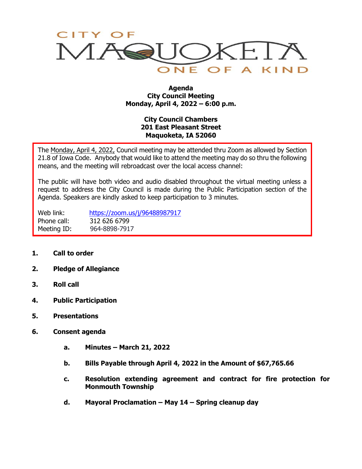

## **Agenda City Council Meeting Monday, April 4, 2022 – 6:00 p.m.**

## **City Council Chambers 201 East Pleasant Street Maquoketa, IA 52060**

The Monday, April 4, 2022, Council meeting may be attended thru Zoom as allowed by Section 21.8 of Iowa Code. Anybody that would like to attend the meeting may do so thru the following means, and the meeting will rebroadcast over the local access channel:

The public will have both video and audio disabled throughout the virtual meeting unless a request to address the City Council is made during the Public Participation section of the Agenda. Speakers are kindly asked to keep participation to 3 minutes.

Web link: <https://zoom.us/j/96488987917> Phone call: 312 626 6799 Meeting ID: 964-8898-7917

- **1. Call to order**
- **2. Pledge of Allegiance**
- **3. Roll call**
- **4. Public Participation**
- **5. Presentations**
- **6. Consent agenda**
	- **a. Minutes – March 21, 2022**
	- **b. Bills Payable through April 4, 2022 in the Amount of \$67,765.66**
	- **c. Resolution extending agreement and contract for fire protection for Monmouth Township**
	- **d. Mayoral Proclamation – May 14 – Spring cleanup day**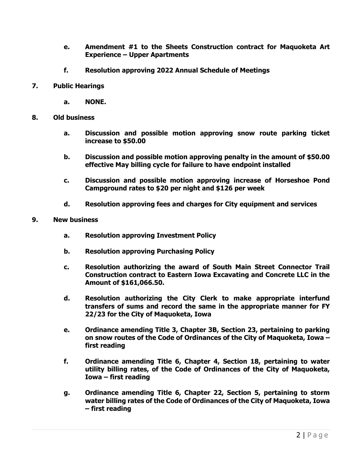- **e. Amendment #1 to the Sheets Construction contract for Maquoketa Art Experience – Upper Apartments**
- **f. Resolution approving 2022 Annual Schedule of Meetings**
- **7. Public Hearings**
	- **a. NONE.**
- **8. Old business**
	- **a. Discussion and possible motion approving snow route parking ticket increase to \$50.00**
	- **b. Discussion and possible motion approving penalty in the amount of \$50.00 effective May billing cycle for failure to have endpoint installed**
	- **c. Discussion and possible motion approving increase of Horseshoe Pond Campground rates to \$20 per night and \$126 per week**
	- **d. Resolution approving fees and charges for City equipment and services**
- **9. New business**
	- **a. Resolution approving Investment Policy**
	- **b. Resolution approving Purchasing Policy**
	- **c. Resolution authorizing the award of South Main Street Connector Trail Construction contract to Eastern Iowa Excavating and Concrete LLC in the Amount of \$161,066.50.**
	- **d. Resolution authorizing the City Clerk to make appropriate interfund transfers of sums and record the same in the appropriate manner for FY 22/23 for the City of Maquoketa, Iowa**
	- **e. Ordinance amending Title 3, Chapter 3B, Section 23, pertaining to parking on snow routes of the Code of Ordinances of the City of Maquoketa, Iowa – first reading**
	- **f. Ordinance amending Title 6, Chapter 4, Section 18, pertaining to water utility billing rates, of the Code of Ordinances of the City of Maquoketa, Iowa – first reading**
	- **g. Ordinance amending Title 6, Chapter 22, Section 5, pertaining to storm water billing rates of the Code of Ordinances of the City of Maquoketa, Iowa – first reading**